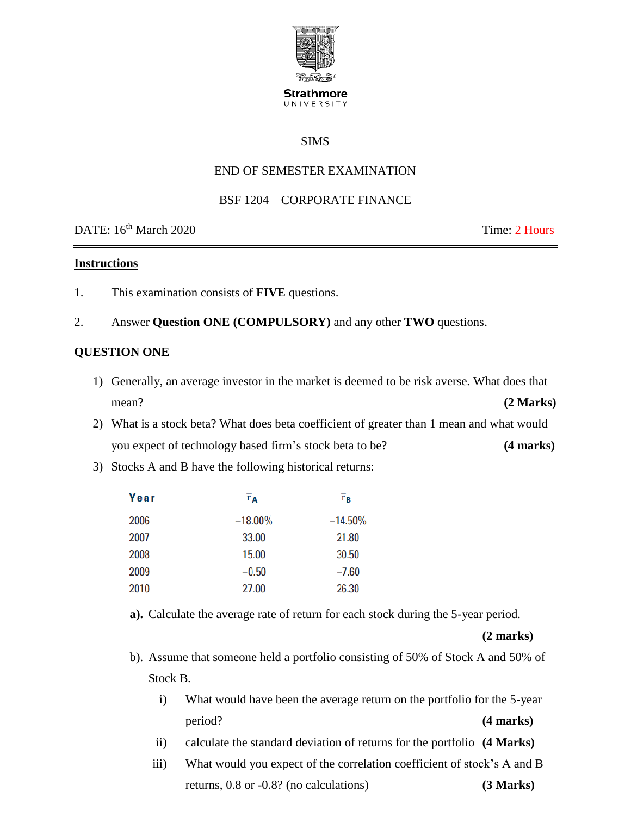

#### **Strathmore** UNIVERSITY

### SIMS

## END OF SEMESTER EXAMINATION

#### BSF 1204 – CORPORATE FINANCE

DATE: 16<sup>th</sup> March 2020 Time: 2 Hours

#### **Instructions**

- 1. This examination consists of **FIVE** questions.
- 2. Answer **Question ONE (COMPULSORY)** and any other **TWO** questions.

#### **QUESTION ONE**

- 1) Generally, an average investor in the market is deemed to be risk averse. What does that mean? **(2 Marks)**
- 2) What is a stock beta? What does beta coefficient of greater than 1 mean and what would you expect of technology based firm's stock beta to be? **(4 marks)**
- 3) Stocks A and B have the following historical returns:

| Year | $\overline{r}_{\mathbf{A}}$ | $\overline{\mathbf{r}}_{\mathbf{B}}$ |
|------|-----------------------------|--------------------------------------|
| 2006 | $-18.00\%$                  | $-14.50%$                            |
| 2007 | 33.00                       | 21.80                                |
| 2008 | 15.00                       | 30.50                                |
| 2009 | $-0.50$                     | $-7.60$                              |
| 2010 | 27.00                       | 26.30                                |

**a).** Calculate the average rate of return for each stock during the 5-year period.

**(2 marks)**

- b). Assume that someone held a portfolio consisting of 50% of Stock A and 50% of Stock B.
	- i) What would have been the average return on the portfolio for the 5-year period? **(4 marks)**
	- ii) calculate the standard deviation of returns for the portfolio **(4 Marks)**
	- iii) What would you expect of the correlation coefficient of stock's A and B returns, 0.8 or -0.8? (no calculations) **(3 Marks)**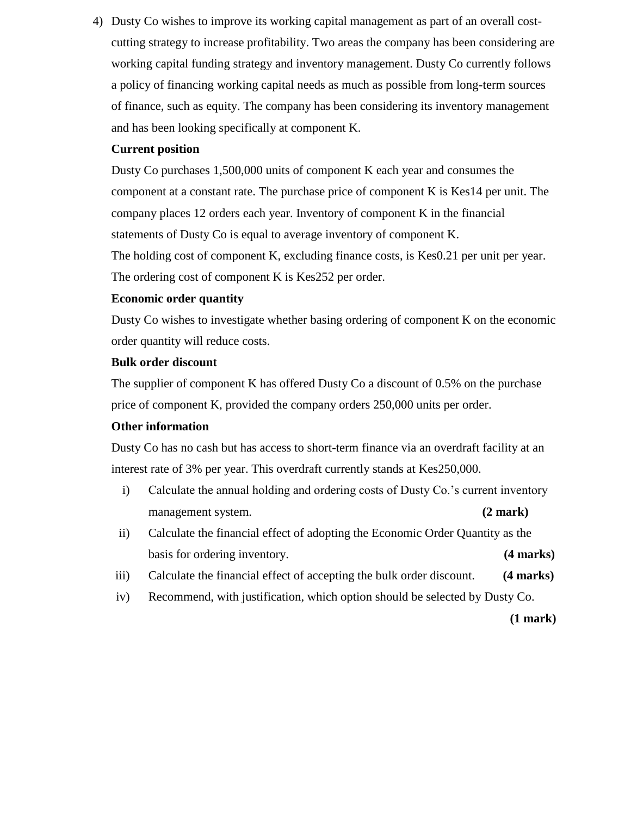4) Dusty Co wishes to improve its working capital management as part of an overall costcutting strategy to increase profitability. Two areas the company has been considering are working capital funding strategy and inventory management. Dusty Co currently follows a policy of financing working capital needs as much as possible from long-term sources of finance, such as equity. The company has been considering its inventory management and has been looking specifically at component K.

### **Current position**

Dusty Co purchases 1,500,000 units of component K each year and consumes the component at a constant rate. The purchase price of component K is Kes14 per unit. The company places 12 orders each year. Inventory of component K in the financial statements of Dusty Co is equal to average inventory of component K. The holding cost of component K, excluding finance costs, is Kes0.21 per unit per year. The ordering cost of component K is Kes252 per order.

## **Economic order quantity**

Dusty Co wishes to investigate whether basing ordering of component K on the economic order quantity will reduce costs.

#### **Bulk order discount**

The supplier of component K has offered Dusty Co a discount of 0.5% on the purchase price of component K, provided the company orders 250,000 units per order.

#### **Other information**

Dusty Co has no cash but has access to short-term finance via an overdraft facility at an interest rate of 3% per year. This overdraft currently stands at Kes250,000.

- i) Calculate the annual holding and ordering costs of Dusty Co.'s current inventory management system. **(2 mark)**
- ii) Calculate the financial effect of adopting the Economic Order Quantity as the basis for ordering inventory. **(4 marks)**
- iii) Calculate the financial effect of accepting the bulk order discount. **(4 marks)**
- iv) Recommend, with justification, which option should be selected by Dusty Co.

**(1 mark)**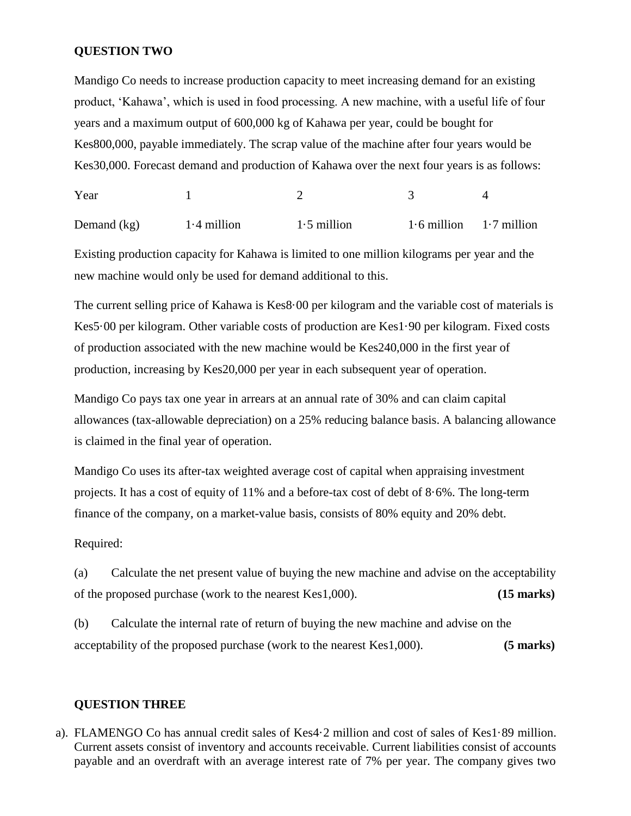#### **QUESTION TWO**

Mandigo Co needs to increase production capacity to meet increasing demand for an existing product, 'Kahawa', which is used in food processing. A new machine, with a useful life of four years and a maximum output of 600,000 kg of Kahawa per year, could be bought for Kes800,000, payable immediately. The scrap value of the machine after four years would be Kes30,000. Forecast demand and production of Kahawa over the next four years is as follows:

Year 1 2 3 4

Demand  $(kg)$  1·4 million 1·5 million 1·6 million 1·7 million

Existing production capacity for Kahawa is limited to one million kilograms per year and the new machine would only be used for demand additional to this.

The current selling price of Kahawa is Kes8·00 per kilogram and the variable cost of materials is Kes5·00 per kilogram. Other variable costs of production are Kes1·90 per kilogram. Fixed costs of production associated with the new machine would be Kes240,000 in the first year of production, increasing by Kes20,000 per year in each subsequent year of operation.

Mandigo Co pays tax one year in arrears at an annual rate of 30% and can claim capital allowances (tax-allowable depreciation) on a 25% reducing balance basis. A balancing allowance is claimed in the final year of operation.

Mandigo Co uses its after-tax weighted average cost of capital when appraising investment projects. It has a cost of equity of 11% and a before-tax cost of debt of 8·6%. The long-term finance of the company, on a market-value basis, consists of 80% equity and 20% debt.

Required:

(a) Calculate the net present value of buying the new machine and advise on the acceptability of the proposed purchase (work to the nearest Kes1,000). **(15 marks)**

(b) Calculate the internal rate of return of buying the new machine and advise on the acceptability of the proposed purchase (work to the nearest Kes1,000). **(5 marks)**

#### **QUESTION THREE**

a). FLAMENGO Co has annual credit sales of Kes4·2 million and cost of sales of Kes1·89 million. Current assets consist of inventory and accounts receivable. Current liabilities consist of accounts payable and an overdraft with an average interest rate of 7% per year. The company gives two